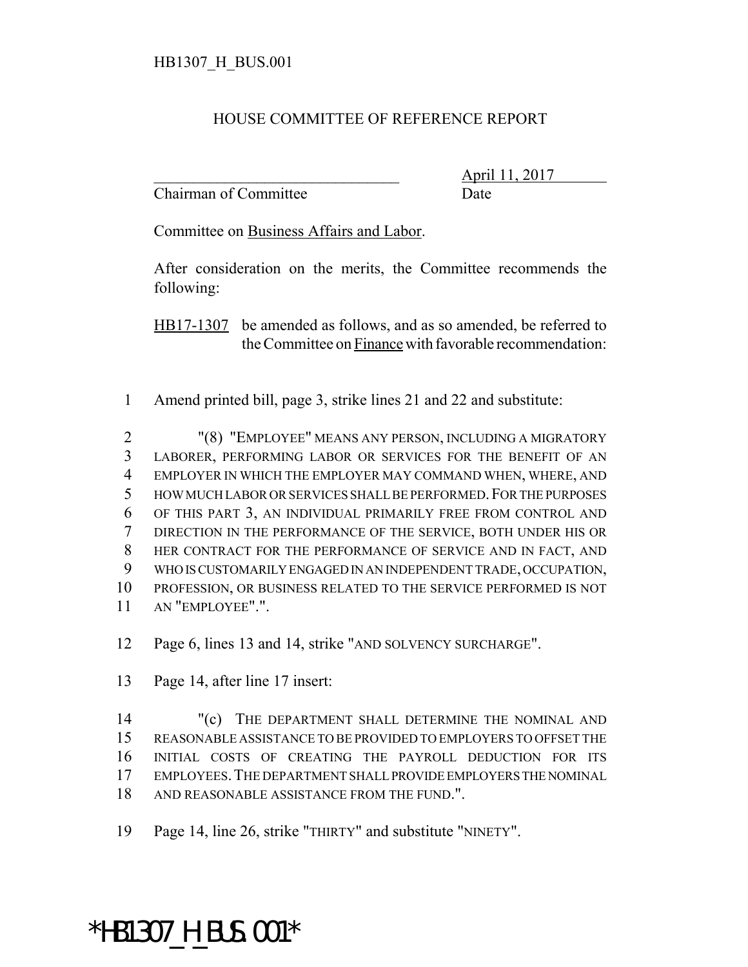## HOUSE COMMITTEE OF REFERENCE REPORT

Chairman of Committee Date

\_\_\_\_\_\_\_\_\_\_\_\_\_\_\_\_\_\_\_\_\_\_\_\_\_\_\_\_\_\_\_ April 11, 2017

Committee on Business Affairs and Labor.

After consideration on the merits, the Committee recommends the following:

HB17-1307 be amended as follows, and as so amended, be referred to the Committee on Finance with favorable recommendation:

Amend printed bill, page 3, strike lines 21 and 22 and substitute:

 "(8) "EMPLOYEE" MEANS ANY PERSON, INCLUDING A MIGRATORY LABORER, PERFORMING LABOR OR SERVICES FOR THE BENEFIT OF AN EMPLOYER IN WHICH THE EMPLOYER MAY COMMAND WHEN, WHERE, AND HOW MUCH LABOR OR SERVICES SHALL BE PERFORMED.FOR THE PURPOSES OF THIS PART 3, AN INDIVIDUAL PRIMARILY FREE FROM CONTROL AND DIRECTION IN THE PERFORMANCE OF THE SERVICE, BOTH UNDER HIS OR HER CONTRACT FOR THE PERFORMANCE OF SERVICE AND IN FACT, AND WHO IS CUSTOMARILY ENGAGED IN AN INDEPENDENT TRADE, OCCUPATION, PROFESSION, OR BUSINESS RELATED TO THE SERVICE PERFORMED IS NOT AN "EMPLOYEE".".

Page 6, lines 13 and 14, strike "AND SOLVENCY SURCHARGE".

Page 14, after line 17 insert:

14 "(c) THE DEPARTMENT SHALL DETERMINE THE NOMINAL AND REASONABLE ASSISTANCE TO BE PROVIDED TO EMPLOYERS TO OFFSET THE INITIAL COSTS OF CREATING THE PAYROLL DEDUCTION FOR ITS EMPLOYEES.THE DEPARTMENT SHALL PROVIDE EMPLOYERS THE NOMINAL AND REASONABLE ASSISTANCE FROM THE FUND.".

Page 14, line 26, strike "THIRTY" and substitute "NINETY".

## \*HB1307\_H\_BUS.001\*